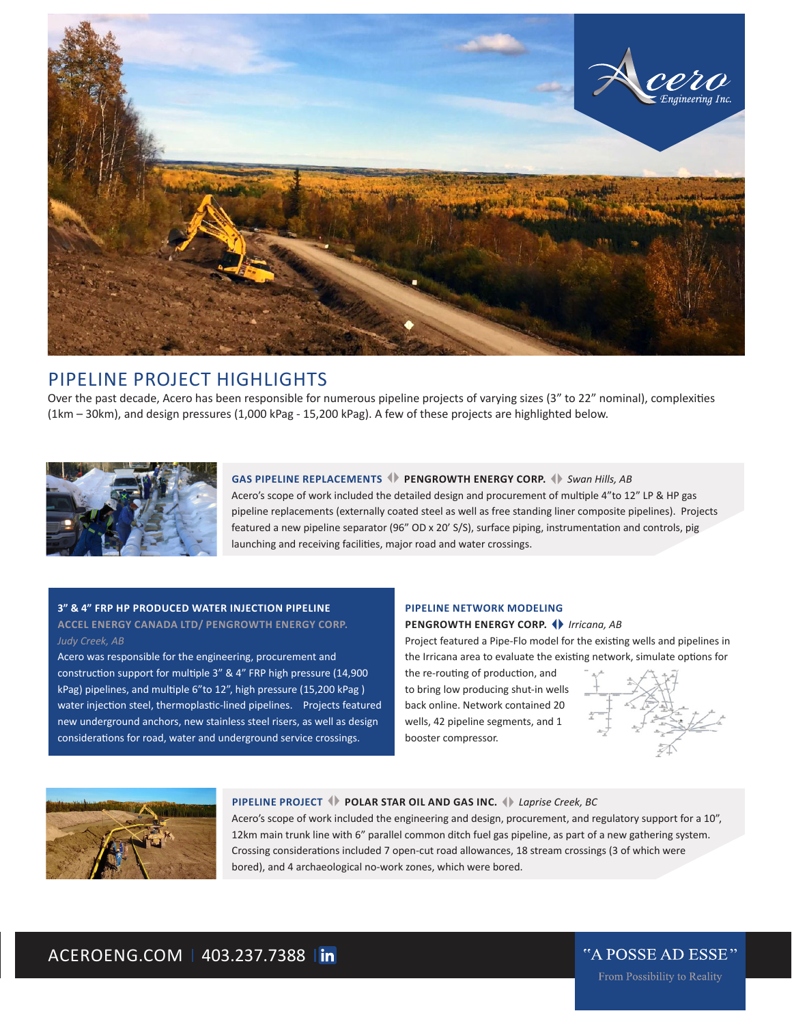

# PIPELINE PROJECT HIGHLIGHTS

Over the past decade, Acero has been responsible for numerous pipeline projects of varying sizes (3" to 22" nominal), complexities (1km – 30km), and design pressures (1,000 kPag - 15,200 kPag). A few of these projects are highlighted below.



**GAS PIPELINE REPLACEMENTS**  $\blacklozenge$  **PENGROWTH ENERGY CORP.**  $\blacklozenge$  Swan Hills, AB Acero's scope of work included the detailed design and procurement of multiple 4"to 12" LP & HP gas pipeline replacements (externally coated steel as well as free standing liner composite pipelines). Projects featured a new pipeline separator (96" OD x 20' S/S), surface piping, instrumentation and controls, pig launching and receiving facilities, major road and water crossings.

## **3" & 4" FRP HP PRODUCED WATER INJECTION PIPELINE**

## **ACCEL ENERGY CANADA LTD/ PENGROWTH ENERGY CORP.** *Judy Creek, AB*

Acero was responsible for the engineering, procurement and construction support for multiple 3" & 4" FRP high pressure (14,900 kPag) pipelines, and multiple 6"to 12", high pressure (15,200 kPag ) water injection steel, thermoplastic-lined pipelines. Projects featured new underground anchors, new stainless steel risers, as well as design considerations for road, water and underground service crossings.

## **PIPELINE NETWORK MODELING PENGROWTH ENERGY CORP.** *Irricana, AB*

Project featured a Pipe-Flo model for the existing wells and pipelines in the Irricana area to evaluate the existing network, simulate options for

the re-routing of production, and to bring low producing shut-in wells back online. Network contained 20 wells, 42 pipeline segments, and 1 booster compressor.



## **PIPELINE PROJECT POLAR STAR OIL AND GAS INC.** *Laprise Creek, BC*

Acero's scope of work included the engineering and design, procurement, and regulatory support for a 10", 12km main trunk line with 6" parallel common ditch fuel gas pipeline, as part of a new gathering system. Crossing considerations included 7 open-cut road allowances, 18 stream crossings (3 of which were bored), and 4 archaeological no-work zones, which were bored.

# ACEROENG.COM | 403.237.7388 | in

"A POSSE AD ESSE" From Possibility to Reality